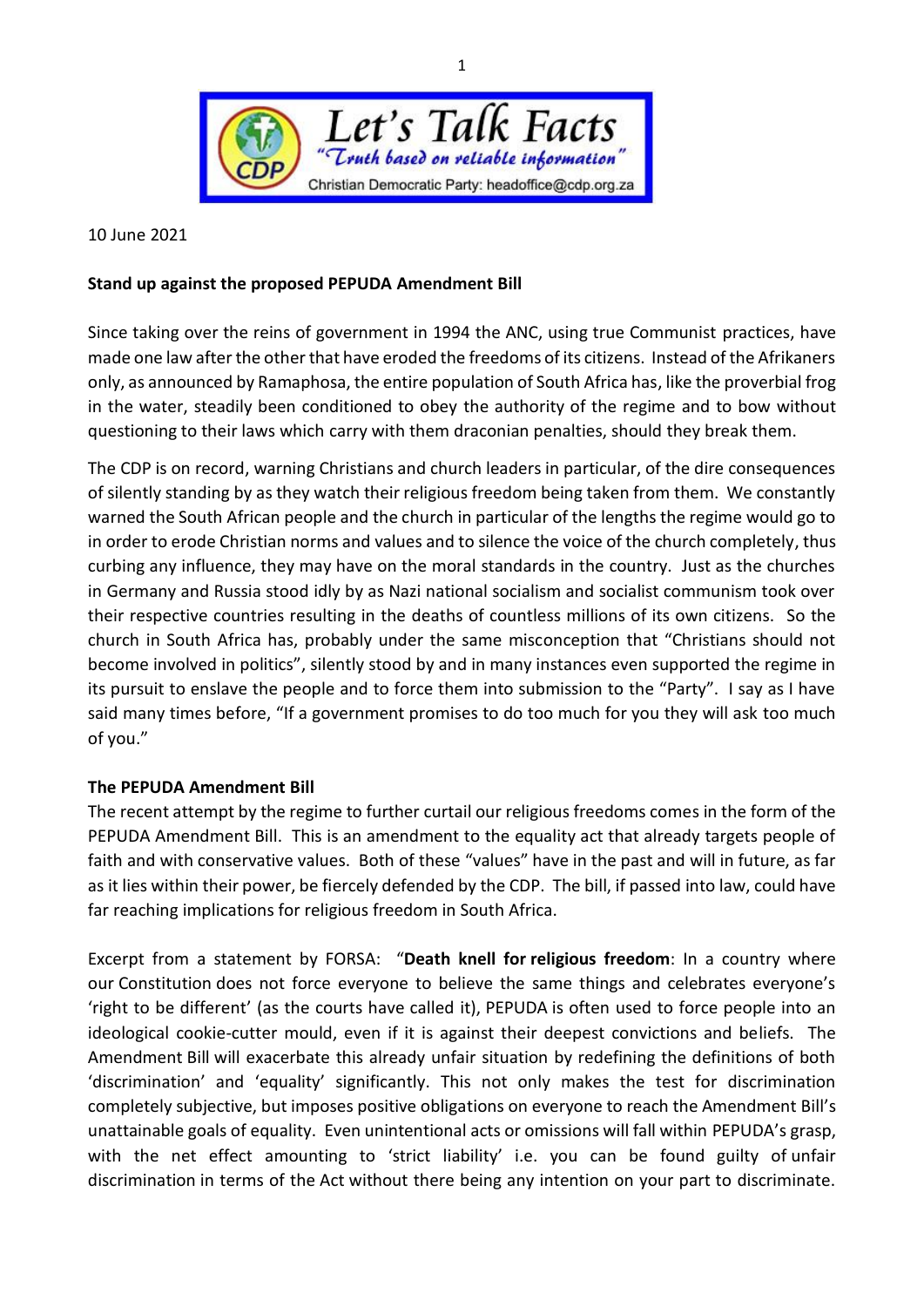

10 June 2021

## **Stand up against the proposed PEPUDA Amendment Bill**

Since taking over the reins of government in 1994 the ANC, using true Communist practices, have made one law after the other that have eroded the freedoms of its citizens. Instead of the Afrikaners only, as announced by Ramaphosa, the entire population of South Africa has, like the proverbial frog in the water, steadily been conditioned to obey the authority of the regime and to bow without questioning to their laws which carry with them draconian penalties, should they break them.

The CDP is on record, warning Christians and church leaders in particular, of the dire consequences of silently standing by as they watch their religious freedom being taken from them. We constantly warned the South African people and the church in particular of the lengths the regime would go to in order to erode Christian norms and values and to silence the voice of the church completely, thus curbing any influence, they may have on the moral standards in the country. Just as the churches in Germany and Russia stood idly by as Nazi national socialism and socialist communism took over their respective countries resulting in the deaths of countless millions of its own citizens. So the church in South Africa has, probably under the same misconception that "Christians should not become involved in politics", silently stood by and in many instances even supported the regime in its pursuit to enslave the people and to force them into submission to the "Party". I say as I have said many times before, "If a government promises to do too much for you they will ask too much of you."

## **The PEPUDA Amendment Bill**

The recent attempt by the regime to further curtail our religious freedoms comes in the form of the PEPUDA Amendment Bill. This is an amendment to the equality act that already targets people of faith and with conservative values. Both of these "values" have in the past and will in future, as far as it lies within their power, be fiercely defended by the CDP. The bill, if passed into law, could have far reaching implications for religious freedom in South Africa.

Excerpt from a statement by FORSA: "**Death knell for religious freedom**: In a country where our Constitution does not force everyone to believe the same things and celebrates everyone's 'right to be different' (as the courts have called it), PEPUDA is often used to force people into an ideological cookie-cutter mould, even if it is against their deepest convictions and beliefs. The Amendment Bill will exacerbate this already unfair situation by redefining the definitions of both 'discrimination' and 'equality' significantly. This not only makes the test for discrimination completely subjective, but imposes positive obligations on everyone to reach the Amendment Bill's unattainable goals of equality. Even unintentional acts or omissions will fall within PEPUDA's grasp, with the net effect amounting to 'strict liability' i.e. you can be found guilty of unfair discrimination in terms of the Act without there being any intention on your part to discriminate.